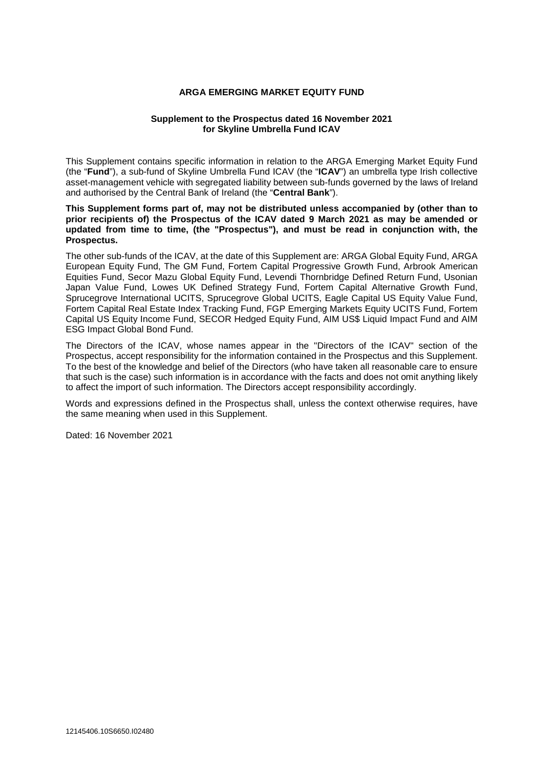### **ARGA EMERGING MARKET EQUITY FUND**

### **Supplement to the Prospectus dated 16 November 2021 for Skyline Umbrella Fund ICAV**

This Supplement contains specific information in relation to the ARGA Emerging Market Equity Fund (the "**Fund**"), a sub-fund of Skyline Umbrella Fund ICAV (the "**ICAV**") an umbrella type Irish collective asset-management vehicle with segregated liability between sub-funds governed by the laws of Ireland and authorised by the Central Bank of Ireland (the "**Central Bank**").

**This Supplement forms part of, may not be distributed unless accompanied by (other than to prior recipients of) the Prospectus of the ICAV dated 9 March 2021 as may be amended or updated from time to time, (the "Prospectus"), and must be read in conjunction with, the Prospectus.** 

The other sub-funds of the ICAV, at the date of this Supplement are: ARGA Global Equity Fund, ARGA European Equity Fund, The GM Fund, Fortem Capital Progressive Growth Fund, Arbrook American Equities Fund, Secor Mazu Global Equity Fund, Levendi Thornbridge Defined Return Fund, Usonian Japan Value Fund, Lowes UK Defined Strategy Fund, Fortem Capital Alternative Growth Fund, Sprucegrove International UCITS, Sprucegrove Global UCITS, Eagle Capital US Equity Value Fund, Fortem Capital Real Estate Index Tracking Fund, FGP Emerging Markets Equity UCITS Fund, Fortem Capital US Equity Income Fund, SECOR Hedged Equity Fund, AIM US\$ Liquid Impact Fund and AIM ESG Impact Global Bond Fund.

The Directors of the ICAV, whose names appear in the "Directors of the ICAV" section of the Prospectus, accept responsibility for the information contained in the Prospectus and this Supplement. To the best of the knowledge and belief of the Directors (who have taken all reasonable care to ensure that such is the case) such information is in accordance with the facts and does not omit anything likely to affect the import of such information. The Directors accept responsibility accordingly.

Words and expressions defined in the Prospectus shall, unless the context otherwise requires, have the same meaning when used in this Supplement.

Dated: 16 November 2021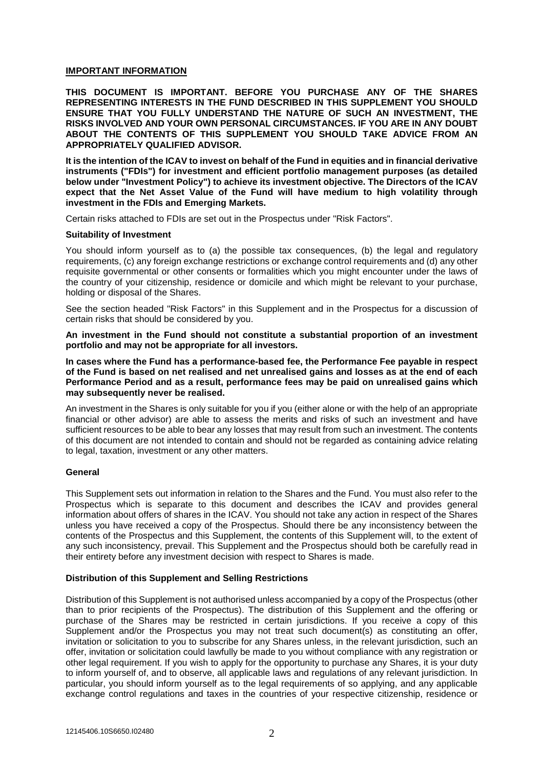### **IMPORTANT INFORMATION**

**THIS DOCUMENT IS IMPORTANT. BEFORE YOU PURCHASE ANY OF THE SHARES REPRESENTING INTERESTS IN THE FUND DESCRIBED IN THIS SUPPLEMENT YOU SHOULD ENSURE THAT YOU FULLY UNDERSTAND THE NATURE OF SUCH AN INVESTMENT, THE RISKS INVOLVED AND YOUR OWN PERSONAL CIRCUMSTANCES. IF YOU ARE IN ANY DOUBT ABOUT THE CONTENTS OF THIS SUPPLEMENT YOU SHOULD TAKE ADVICE FROM AN APPROPRIATELY QUALIFIED ADVISOR.** 

**It is the intention of the ICAV to invest on behalf of the Fund in equities and in financial derivative instruments ("FDIs") for investment and efficient portfolio management purposes (as detailed below under "Investment Policy") to achieve its investment objective. The Directors of the ICAV expect that the Net Asset Value of the Fund will have medium to high volatility through investment in the FDIs and Emerging Markets.** 

Certain risks attached to FDIs are set out in the Prospectus under "Risk Factors".

#### **Suitability of Investment**

You should inform yourself as to (a) the possible tax consequences, (b) the legal and regulatory requirements, (c) any foreign exchange restrictions or exchange control requirements and (d) any other requisite governmental or other consents or formalities which you might encounter under the laws of the country of your citizenship, residence or domicile and which might be relevant to your purchase, holding or disposal of the Shares.

See the section headed "Risk Factors" in this Supplement and in the Prospectus for a discussion of certain risks that should be considered by you.

**An investment in the Fund should not constitute a substantial proportion of an investment portfolio and may not be appropriate for all investors.** 

**In cases where the Fund has a performance-based fee, the Performance Fee payable in respect of the Fund is based on net realised and net unrealised gains and losses as at the end of each Performance Period and as a result, performance fees may be paid on unrealised gains which may subsequently never be realised.** 

An investment in the Shares is only suitable for you if you (either alone or with the help of an appropriate financial or other advisor) are able to assess the merits and risks of such an investment and have sufficient resources to be able to bear any losses that may result from such an investment. The contents of this document are not intended to contain and should not be regarded as containing advice relating to legal, taxation, investment or any other matters.

#### **General**

This Supplement sets out information in relation to the Shares and the Fund. You must also refer to the Prospectus which is separate to this document and describes the ICAV and provides general information about offers of shares in the ICAV. You should not take any action in respect of the Shares unless you have received a copy of the Prospectus. Should there be any inconsistency between the contents of the Prospectus and this Supplement, the contents of this Supplement will, to the extent of any such inconsistency, prevail. This Supplement and the Prospectus should both be carefully read in their entirety before any investment decision with respect to Shares is made.

#### **Distribution of this Supplement and Selling Restrictions**

Distribution of this Supplement is not authorised unless accompanied by a copy of the Prospectus (other than to prior recipients of the Prospectus). The distribution of this Supplement and the offering or purchase of the Shares may be restricted in certain jurisdictions. If you receive a copy of this Supplement and/or the Prospectus you may not treat such document(s) as constituting an offer, invitation or solicitation to you to subscribe for any Shares unless, in the relevant jurisdiction, such an offer, invitation or solicitation could lawfully be made to you without compliance with any registration or other legal requirement. If you wish to apply for the opportunity to purchase any Shares, it is your duty to inform yourself of, and to observe, all applicable laws and regulations of any relevant jurisdiction. In particular, you should inform yourself as to the legal requirements of so applying, and any applicable exchange control regulations and taxes in the countries of your respective citizenship, residence or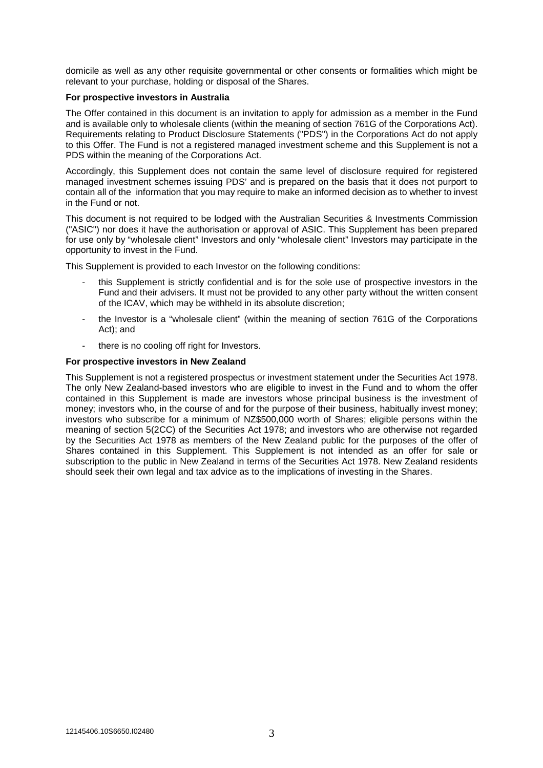domicile as well as any other requisite governmental or other consents or formalities which might be relevant to your purchase, holding or disposal of the Shares.

#### **For prospective investors in Australia**

The Offer contained in this document is an invitation to apply for admission as a member in the Fund and is available only to wholesale clients (within the meaning of section 761G of the Corporations Act). Requirements relating to Product Disclosure Statements ("PDS") in the Corporations Act do not apply to this Offer. The Fund is not a registered managed investment scheme and this Supplement is not a PDS within the meaning of the Corporations Act.

Accordingly, this Supplement does not contain the same level of disclosure required for registered managed investment schemes issuing PDS' and is prepared on the basis that it does not purport to contain all of the information that you may require to make an informed decision as to whether to invest in the Fund or not.

This document is not required to be lodged with the Australian Securities & Investments Commission ("ASIC") nor does it have the authorisation or approval of ASIC. This Supplement has been prepared for use only by "wholesale client" Investors and only "wholesale client" Investors may participate in the opportunity to invest in the Fund.

This Supplement is provided to each Investor on the following conditions:

- this Supplement is strictly confidential and is for the sole use of prospective investors in the Fund and their advisers. It must not be provided to any other party without the written consent of the ICAV, which may be withheld in its absolute discretion;
- the Investor is a "wholesale client" (within the meaning of section 761G of the Corporations Act); and
- there is no cooling off right for Investors.

#### **For prospective investors in New Zealand**

This Supplement is not a registered prospectus or investment statement under the Securities Act 1978. The only New Zealand-based investors who are eligible to invest in the Fund and to whom the offer contained in this Supplement is made are investors whose principal business is the investment of money; investors who, in the course of and for the purpose of their business, habitually invest money; investors who subscribe for a minimum of NZ\$500,000 worth of Shares; eligible persons within the meaning of section 5(2CC) of the Securities Act 1978; and investors who are otherwise not regarded by the Securities Act 1978 as members of the New Zealand public for the purposes of the offer of Shares contained in this Supplement. This Supplement is not intended as an offer for sale or subscription to the public in New Zealand in terms of the Securities Act 1978. New Zealand residents should seek their own legal and tax advice as to the implications of investing in the Shares.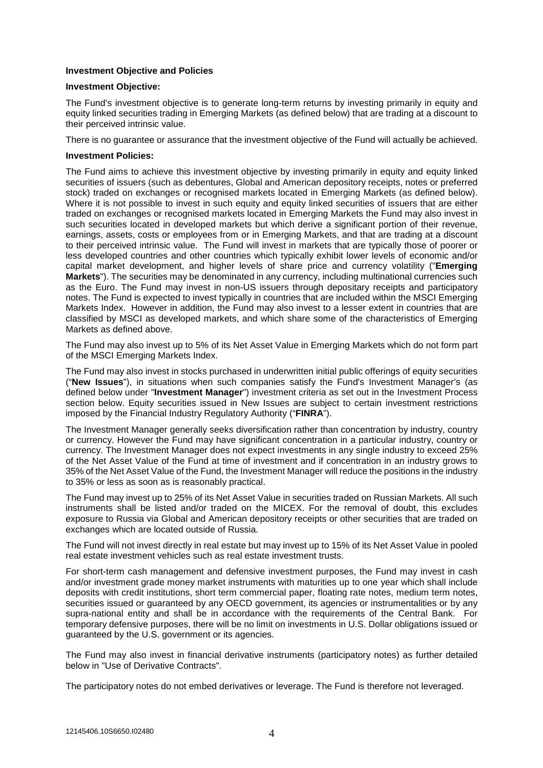### **Investment Objective and Policies**

#### **Investment Objective:**

The Fund's investment objective is to generate long-term returns by investing primarily in equity and equity linked securities trading in Emerging Markets (as defined below) that are trading at a discount to their perceived intrinsic value.

There is no guarantee or assurance that the investment objective of the Fund will actually be achieved.

#### **Investment Policies:**

The Fund aims to achieve this investment objective by investing primarily in equity and equity linked securities of issuers (such as debentures, Global and American depository receipts, notes or preferred stock) traded on exchanges or recognised markets located in Emerging Markets (as defined below). Where it is not possible to invest in such equity and equity linked securities of issuers that are either traded on exchanges or recognised markets located in Emerging Markets the Fund may also invest in such securities located in developed markets but which derive a significant portion of their revenue, earnings, assets, costs or employees from or in Emerging Markets, and that are trading at a discount to their perceived intrinsic value. The Fund will invest in markets that are typically those of poorer or less developed countries and other countries which typically exhibit lower levels of economic and/or capital market development, and higher levels of share price and currency volatility ("**Emerging Markets**"). The securities may be denominated in any currency, including multinational currencies such as the Euro. The Fund may invest in non-US issuers through depositary receipts and participatory notes. The Fund is expected to invest typically in countries that are included within the MSCI Emerging Markets Index. However in addition, the Fund may also invest to a lesser extent in countries that are classified by MSCI as developed markets, and which share some of the characteristics of Emerging Markets as defined above.

The Fund may also invest up to 5% of its Net Asset Value in Emerging Markets which do not form part of the MSCI Emerging Markets Index.

The Fund may also invest in stocks purchased in underwritten initial public offerings of equity securities ("**New Issues**"), in situations when such companies satisfy the Fund's Investment Manager's (as defined below under "**Investment Manager**") investment criteria as set out in the Investment Process section below. Equity securities issued in New Issues are subject to certain investment restrictions imposed by the Financial Industry Regulatory Authority ("**FINRA**").

The Investment Manager generally seeks diversification rather than concentration by industry, country or currency. However the Fund may have significant concentration in a particular industry, country or currency. The Investment Manager does not expect investments in any single industry to exceed 25% of the Net Asset Value of the Fund at time of investment and if concentration in an industry grows to 35% of the Net Asset Value of the Fund, the Investment Manager will reduce the positions in the industry to 35% or less as soon as is reasonably practical.

The Fund may invest up to 25% of its Net Asset Value in securities traded on Russian Markets. All such instruments shall be listed and/or traded on the MICEX. For the removal of doubt, this excludes exposure to Russia via Global and American depository receipts or other securities that are traded on exchanges which are located outside of Russia.

The Fund will not invest directly in real estate but may invest up to 15% of its Net Asset Value in pooled real estate investment vehicles such as real estate investment trusts.

For short-term cash management and defensive investment purposes, the Fund may invest in cash and/or investment grade money market instruments with maturities up to one year which shall include deposits with credit institutions, short term commercial paper, floating rate notes, medium term notes, securities issued or guaranteed by any OECD government, its agencies or instrumentalities or by any supra-national entity and shall be in accordance with the requirements of the Central Bank. For temporary defensive purposes, there will be no limit on investments in U.S. Dollar obligations issued or guaranteed by the U.S. government or its agencies.

The Fund may also invest in financial derivative instruments (participatory notes) as further detailed below in "Use of Derivative Contracts".

The participatory notes do not embed derivatives or leverage. The Fund is therefore not leveraged.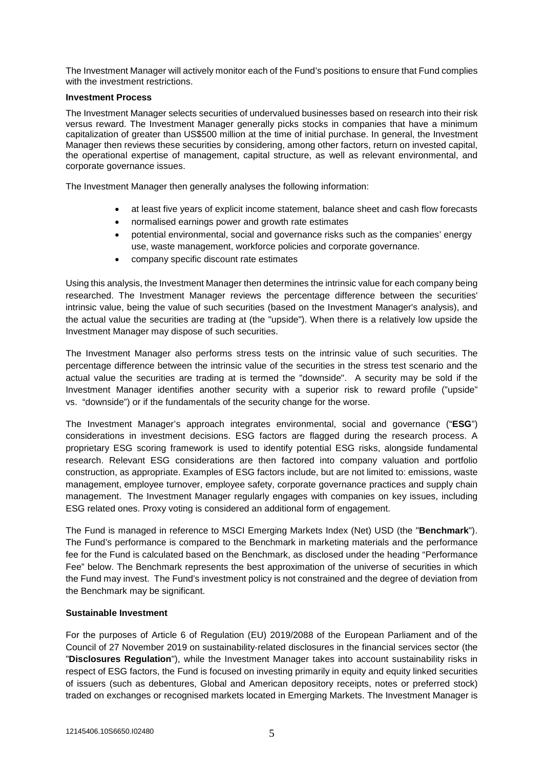The Investment Manager will actively monitor each of the Fund's positions to ensure that Fund complies with the investment restrictions.

## **Investment Process**

The Investment Manager selects securities of undervalued businesses based on research into their risk versus reward. The Investment Manager generally picks stocks in companies that have a minimum capitalization of greater than US\$500 million at the time of initial purchase. In general, the Investment Manager then reviews these securities by considering, among other factors, return on invested capital, the operational expertise of management, capital structure, as well as relevant environmental, and corporate governance issues.

The Investment Manager then generally analyses the following information:

- at least five years of explicit income statement, balance sheet and cash flow forecasts
- normalised earnings power and growth rate estimates
- potential environmental, social and governance risks such as the companies' energy use, waste management, workforce policies and corporate governance.
- company specific discount rate estimates

Using this analysis, the Investment Manager then determines the intrinsic value for each company being researched. The Investment Manager reviews the percentage difference between the securities' intrinsic value, being the value of such securities (based on the Investment Manager's analysis), and the actual value the securities are trading at (the "upside"). When there is a relatively low upside the Investment Manager may dispose of such securities.

The Investment Manager also performs stress tests on the intrinsic value of such securities. The percentage difference between the intrinsic value of the securities in the stress test scenario and the actual value the securities are trading at is termed the "downside". A security may be sold if the Investment Manager identifies another security with a superior risk to reward profile ("upside" vs. "downside") or if the fundamentals of the security change for the worse.

The Investment Manager's approach integrates environmental, social and governance ("**ESG**") considerations in investment decisions. ESG factors are flagged during the research process. A proprietary ESG scoring framework is used to identify potential ESG risks, alongside fundamental research. Relevant ESG considerations are then factored into company valuation and portfolio construction, as appropriate. Examples of ESG factors include, but are not limited to: emissions, waste management, employee turnover, employee safety, corporate governance practices and supply chain management. The Investment Manager regularly engages with companies on key issues, including ESG related ones. Proxy voting is considered an additional form of engagement.

The Fund is managed in reference to MSCI Emerging Markets Index (Net) USD (the "**Benchmark**"). The Fund's performance is compared to the Benchmark in marketing materials and the performance fee for the Fund is calculated based on the Benchmark, as disclosed under the heading "Performance Fee" below. The Benchmark represents the best approximation of the universe of securities in which the Fund may invest. The Fund's investment policy is not constrained and the degree of deviation from the Benchmark may be significant.

# **Sustainable Investment**

For the purposes of Article 6 of Regulation (EU) 2019/2088 of the European Parliament and of the Council of 27 November 2019 on sustainability‐related disclosures in the financial services sector (the "**Disclosures Regulation**"), while the Investment Manager takes into account sustainability risks in respect of ESG factors, the Fund is focused on investing primarily in equity and equity linked securities of issuers (such as debentures, Global and American depository receipts, notes or preferred stock) traded on exchanges or recognised markets located in Emerging Markets. The Investment Manager is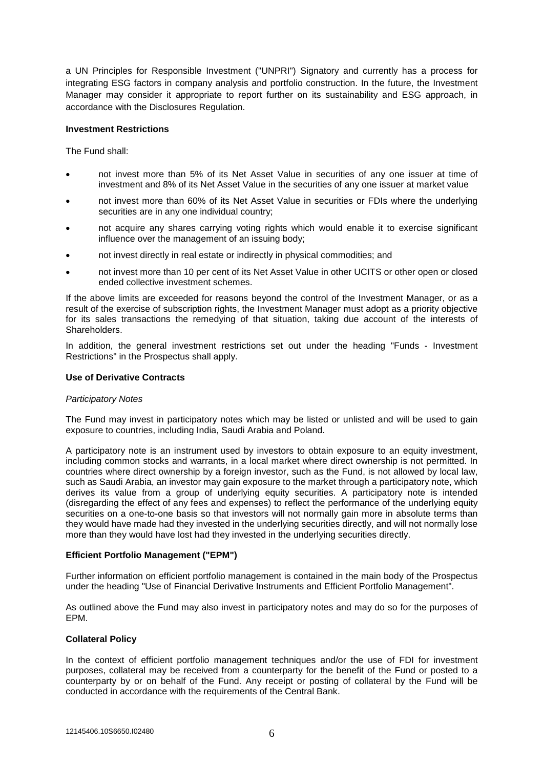a UN Principles for Responsible Investment ("UNPRI") Signatory and currently has a process for integrating ESG factors in company analysis and portfolio construction. In the future, the Investment Manager may consider it appropriate to report further on its sustainability and ESG approach, in accordance with the Disclosures Regulation.

## **Investment Restrictions**

The Fund shall:

- not invest more than 5% of its Net Asset Value in securities of any one issuer at time of investment and 8% of its Net Asset Value in the securities of any one issuer at market value
- not invest more than 60% of its Net Asset Value in securities or FDIs where the underlying securities are in any one individual country;
- not acquire any shares carrying voting rights which would enable it to exercise significant influence over the management of an issuing body;
- not invest directly in real estate or indirectly in physical commodities; and
- not invest more than 10 per cent of its Net Asset Value in other UCITS or other open or closed ended collective investment schemes.

If the above limits are exceeded for reasons beyond the control of the Investment Manager, or as a result of the exercise of subscription rights, the Investment Manager must adopt as a priority objective for its sales transactions the remedying of that situation, taking due account of the interests of Shareholders.

In addition, the general investment restrictions set out under the heading "Funds - Investment Restrictions" in the Prospectus shall apply.

## **Use of Derivative Contracts**

#### *Participatory Notes*

The Fund may invest in participatory notes which may be listed or unlisted and will be used to gain exposure to countries, including India, Saudi Arabia and Poland.

A participatory note is an instrument used by investors to obtain exposure to an equity investment, including common stocks and warrants, in a local market where direct ownership is not permitted. In countries where direct ownership by a foreign investor, such as the Fund, is not allowed by local law, such as Saudi Arabia, an investor may gain exposure to the market through a participatory note, which derives its value from a group of underlying equity securities. A participatory note is intended (disregarding the effect of any fees and expenses) to reflect the performance of the underlying equity securities on a one-to-one basis so that investors will not normally gain more in absolute terms than they would have made had they invested in the underlying securities directly, and will not normally lose more than they would have lost had they invested in the underlying securities directly.

# **Efficient Portfolio Management ("EPM")**

Further information on efficient portfolio management is contained in the main body of the Prospectus under the heading "Use of Financial Derivative Instruments and Efficient Portfolio Management".

As outlined above the Fund may also invest in participatory notes and may do so for the purposes of EPM.

# **Collateral Policy**

In the context of efficient portfolio management techniques and/or the use of FDI for investment purposes, collateral may be received from a counterparty for the benefit of the Fund or posted to a counterparty by or on behalf of the Fund. Any receipt or posting of collateral by the Fund will be conducted in accordance with the requirements of the Central Bank.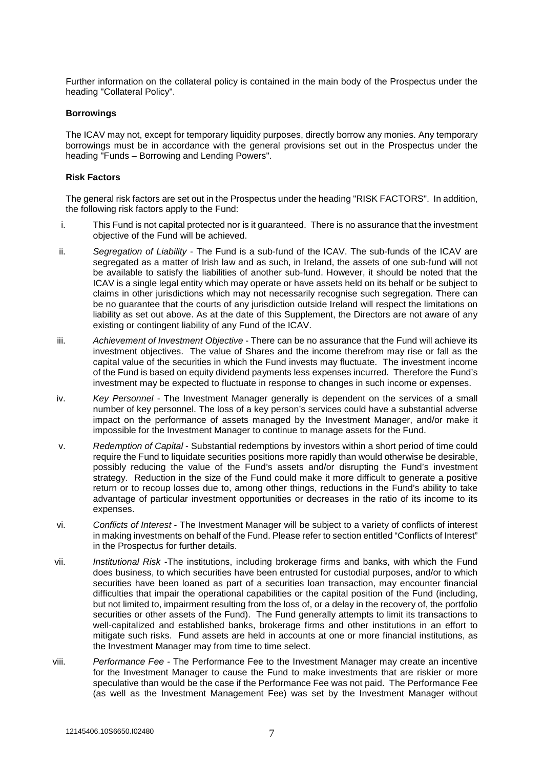Further information on the collateral policy is contained in the main body of the Prospectus under the heading "Collateral Policy".

#### **Borrowings**

The ICAV may not, except for temporary liquidity purposes, directly borrow any monies. Any temporary borrowings must be in accordance with the general provisions set out in the Prospectus under the heading "Funds – Borrowing and Lending Powers".

## **Risk Factors**

The general risk factors are set out in the Prospectus under the heading "RISK FACTORS". In addition, the following risk factors apply to the Fund:

- i. This Fund is not capital protected nor is it guaranteed. There is no assurance that the investment objective of the Fund will be achieved.
- ii. *Segregation of Liability* The Fund is a sub-fund of the ICAV. The sub-funds of the ICAV are segregated as a matter of Irish law and as such, in Ireland, the assets of one sub-fund will not be available to satisfy the liabilities of another sub-fund. However, it should be noted that the ICAV is a single legal entity which may operate or have assets held on its behalf or be subject to claims in other jurisdictions which may not necessarily recognise such segregation. There can be no guarantee that the courts of any jurisdiction outside Ireland will respect the limitations on liability as set out above. As at the date of this Supplement, the Directors are not aware of any existing or contingent liability of any Fund of the ICAV.
- iii. *Achievement of Investment Objective* There can be no assurance that the Fund will achieve its investment objectives. The value of Shares and the income therefrom may rise or fall as the capital value of the securities in which the Fund invests may fluctuate. The investment income of the Fund is based on equity dividend payments less expenses incurred. Therefore the Fund's investment may be expected to fluctuate in response to changes in such income or expenses.
- iv. *Key Personnel* The Investment Manager generally is dependent on the services of a small number of key personnel. The loss of a key person's services could have a substantial adverse impact on the performance of assets managed by the Investment Manager, and/or make it impossible for the Investment Manager to continue to manage assets for the Fund.
- v. *Redemption of Capital* Substantial redemptions by investors within a short period of time could require the Fund to liquidate securities positions more rapidly than would otherwise be desirable, possibly reducing the value of the Fund's assets and/or disrupting the Fund's investment strategy. Reduction in the size of the Fund could make it more difficult to generate a positive return or to recoup losses due to, among other things, reductions in the Fund's ability to take advantage of particular investment opportunities or decreases in the ratio of its income to its expenses.
- vi. *Conflicts of Interest*  The Investment Manager will be subject to a variety of conflicts of interest in making investments on behalf of the Fund. Please refer to section entitled "Conflicts of Interest" in the Prospectus for further details.
- vii. *Institutional Risk* -The institutions, including brokerage firms and banks, with which the Fund does business, to which securities have been entrusted for custodial purposes, and/or to which securities have been loaned as part of a securities loan transaction, may encounter financial difficulties that impair the operational capabilities or the capital position of the Fund (including, but not limited to, impairment resulting from the loss of, or a delay in the recovery of, the portfolio securities or other assets of the Fund). The Fund generally attempts to limit its transactions to well-capitalized and established banks, brokerage firms and other institutions in an effort to mitigate such risks. Fund assets are held in accounts at one or more financial institutions, as the Investment Manager may from time to time select.
- viii. *Performance Fee* The Performance Fee to the Investment Manager may create an incentive for the Investment Manager to cause the Fund to make investments that are riskier or more speculative than would be the case if the Performance Fee was not paid. The Performance Fee (as well as the Investment Management Fee) was set by the Investment Manager without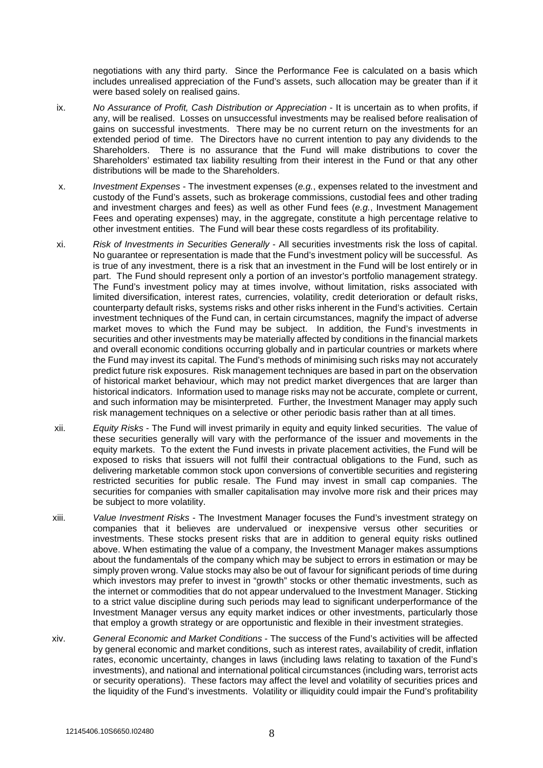negotiations with any third party. Since the Performance Fee is calculated on a basis which includes unrealised appreciation of the Fund's assets, such allocation may be greater than if it were based solely on realised gains.

- ix. *No Assurance of Profit, Cash Distribution or Appreciation* It is uncertain as to when profits, if any, will be realised. Losses on unsuccessful investments may be realised before realisation of gains on successful investments. There may be no current return on the investments for an extended period of time. The Directors have no current intention to pay any dividends to the Shareholders. There is no assurance that the Fund will make distributions to cover the Shareholders' estimated tax liability resulting from their interest in the Fund or that any other distributions will be made to the Shareholders.
- x. *Investment Expenses* The investment expenses (*e.g.*, expenses related to the investment and custody of the Fund's assets, such as brokerage commissions, custodial fees and other trading and investment charges and fees) as well as other Fund fees (*e.g.*, Investment Management Fees and operating expenses) may, in the aggregate, constitute a high percentage relative to other investment entities. The Fund will bear these costs regardless of its profitability.
- xi. *Risk of Investments in Securities Generally* All securities investments risk the loss of capital. No guarantee or representation is made that the Fund's investment policy will be successful. As is true of any investment, there is a risk that an investment in the Fund will be lost entirely or in part. The Fund should represent only a portion of an investor's portfolio management strategy. The Fund's investment policy may at times involve, without limitation, risks associated with limited diversification, interest rates, currencies, volatility, credit deterioration or default risks, counterparty default risks, systems risks and other risks inherent in the Fund's activities. Certain investment techniques of the Fund can, in certain circumstances, magnify the impact of adverse market moves to which the Fund may be subject. In addition, the Fund's investments in securities and other investments may be materially affected by conditions in the financial markets and overall economic conditions occurring globally and in particular countries or markets where the Fund may invest its capital. The Fund's methods of minimising such risks may not accurately predict future risk exposures. Risk management techniques are based in part on the observation of historical market behaviour, which may not predict market divergences that are larger than historical indicators. Information used to manage risks may not be accurate, complete or current, and such information may be misinterpreted. Further, the Investment Manager may apply such risk management techniques on a selective or other periodic basis rather than at all times.
- xii. *Equity Risks* The Fund will invest primarily in equity and equity linked securities. The value of these securities generally will vary with the performance of the issuer and movements in the equity markets. To the extent the Fund invests in private placement activities, the Fund will be exposed to risks that issuers will not fulfil their contractual obligations to the Fund, such as delivering marketable common stock upon conversions of convertible securities and registering restricted securities for public resale. The Fund may invest in small cap companies. The securities for companies with smaller capitalisation may involve more risk and their prices may be subject to more volatility.
- xiii. *Value Investment Risks* The Investment Manager focuses the Fund's investment strategy on companies that it believes are undervalued or inexpensive versus other securities or investments. These stocks present risks that are in addition to general equity risks outlined above. When estimating the value of a company, the Investment Manager makes assumptions about the fundamentals of the company which may be subject to errors in estimation or may be simply proven wrong. Value stocks may also be out of favour for significant periods of time during which investors may prefer to invest in "growth" stocks or other thematic investments, such as the internet or commodities that do not appear undervalued to the Investment Manager. Sticking to a strict value discipline during such periods may lead to significant underperformance of the Investment Manager versus any equity market indices or other investments, particularly those that employ a growth strategy or are opportunistic and flexible in their investment strategies.
- xiv. *General Economic and Market Conditions* The success of the Fund's activities will be affected by general economic and market conditions, such as interest rates, availability of credit, inflation rates, economic uncertainty, changes in laws (including laws relating to taxation of the Fund's investments), and national and international political circumstances (including wars, terrorist acts or security operations). These factors may affect the level and volatility of securities prices and the liquidity of the Fund's investments. Volatility or illiquidity could impair the Fund's profitability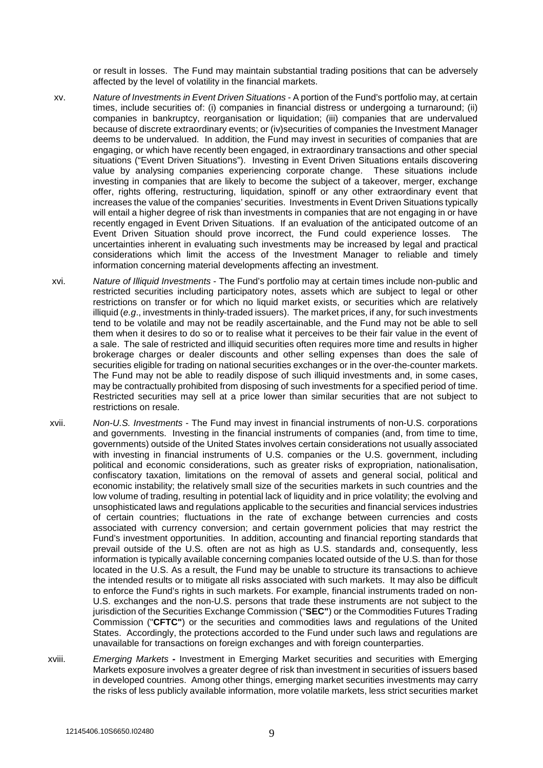or result in losses. The Fund may maintain substantial trading positions that can be adversely affected by the level of volatility in the financial markets.

- xv. *Nature of Investments in Event Driven Situations* A portion of the Fund's portfolio may, at certain times, include securities of: (i) companies in financial distress or undergoing a turnaround; (ii) companies in bankruptcy, reorganisation or liquidation; (iii) companies that are undervalued because of discrete extraordinary events; or (iv)securities of companies the Investment Manager deems to be undervalued. In addition, the Fund may invest in securities of companies that are engaging, or which have recently been engaged, in extraordinary transactions and other special situations ("Event Driven Situations"). Investing in Event Driven Situations entails discovering value by analysing companies experiencing corporate change. These situations include investing in companies that are likely to become the subject of a takeover, merger, exchange offer, rights offering, restructuring, liquidation, spinoff or any other extraordinary event that increases the value of the companies' securities. Investments in Event Driven Situations typically will entail a higher degree of risk than investments in companies that are not engaging in or have recently engaged in Event Driven Situations. If an evaluation of the anticipated outcome of an Event Driven Situation should prove incorrect, the Fund could experience losses. The uncertainties inherent in evaluating such investments may be increased by legal and practical considerations which limit the access of the Investment Manager to reliable and timely information concerning material developments affecting an investment.
- xvi. *Nature of Illiquid Investments* The Fund's portfolio may at certain times include non-public and restricted securities including participatory notes, assets which are subject to legal or other restrictions on transfer or for which no liquid market exists, or securities which are relatively illiquid (*e.g*., investments in thinly-traded issuers). The market prices, if any, for such investments tend to be volatile and may not be readily ascertainable, and the Fund may not be able to sell them when it desires to do so or to realise what it perceives to be their fair value in the event of a sale. The sale of restricted and illiquid securities often requires more time and results in higher brokerage charges or dealer discounts and other selling expenses than does the sale of securities eligible for trading on national securities exchanges or in the over-the-counter markets. The Fund may not be able to readily dispose of such illiquid investments and, in some cases, may be contractually prohibited from disposing of such investments for a specified period of time. Restricted securities may sell at a price lower than similar securities that are not subject to restrictions on resale.
- xvii. *Non-U.S. Investments* The Fund may invest in financial instruments of non-U.S. corporations and governments. Investing in the financial instruments of companies (and, from time to time, governments) outside of the United States involves certain considerations not usually associated with investing in financial instruments of U.S. companies or the U.S. government, including political and economic considerations, such as greater risks of expropriation, nationalisation, confiscatory taxation, limitations on the removal of assets and general social, political and economic instability; the relatively small size of the securities markets in such countries and the low volume of trading, resulting in potential lack of liquidity and in price volatility; the evolving and unsophisticated laws and regulations applicable to the securities and financial services industries of certain countries; fluctuations in the rate of exchange between currencies and costs associated with currency conversion; and certain government policies that may restrict the Fund's investment opportunities. In addition, accounting and financial reporting standards that prevail outside of the U.S. often are not as high as U.S. standards and, consequently, less information is typically available concerning companies located outside of the U.S. than for those located in the U.S. As a result, the Fund may be unable to structure its transactions to achieve the intended results or to mitigate all risks associated with such markets. It may also be difficult to enforce the Fund's rights in such markets. For example, financial instruments traded on non-U.S. exchanges and the non-U.S. persons that trade these instruments are not subject to the jurisdiction of the Securities Exchange Commission ("**SEC"**) or the Commodities Futures Trading Commission ("**CFTC"**) or the securities and commodities laws and regulations of the United States. Accordingly, the protections accorded to the Fund under such laws and regulations are unavailable for transactions on foreign exchanges and with foreign counterparties.
- xviii. *Emerging Markets* Investment in Emerging Market securities and securities with Emerging Markets exposure involves a greater degree of risk than investment in securities of issuers based in developed countries. Among other things, emerging market securities investments may carry the risks of less publicly available information, more volatile markets, less strict securities market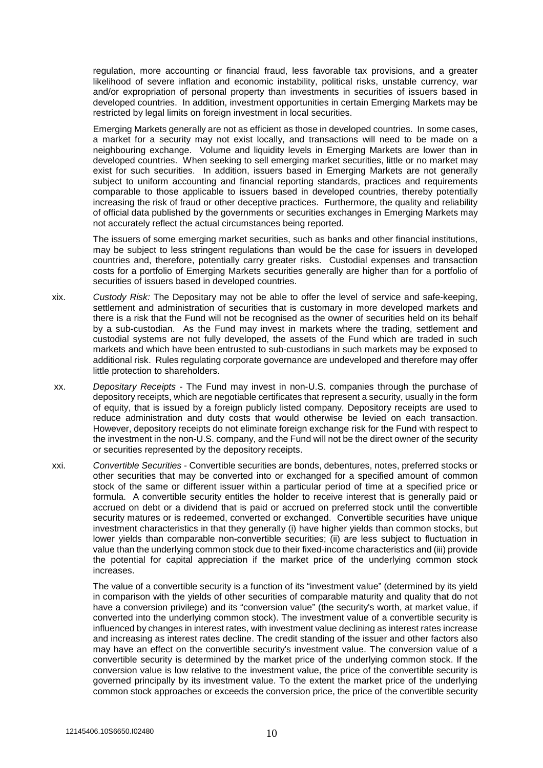regulation, more accounting or financial fraud, less favorable tax provisions, and a greater likelihood of severe inflation and economic instability, political risks, unstable currency, war and/or expropriation of personal property than investments in securities of issuers based in developed countries. In addition, investment opportunities in certain Emerging Markets may be restricted by legal limits on foreign investment in local securities.

Emerging Markets generally are not as efficient as those in developed countries. In some cases, a market for a security may not exist locally, and transactions will need to be made on a neighbouring exchange. Volume and liquidity levels in Emerging Markets are lower than in developed countries. When seeking to sell emerging market securities, little or no market may exist for such securities. In addition, issuers based in Emerging Markets are not generally subject to uniform accounting and financial reporting standards, practices and requirements comparable to those applicable to issuers based in developed countries, thereby potentially increasing the risk of fraud or other deceptive practices. Furthermore, the quality and reliability of official data published by the governments or securities exchanges in Emerging Markets may not accurately reflect the actual circumstances being reported.

The issuers of some emerging market securities, such as banks and other financial institutions, may be subject to less stringent regulations than would be the case for issuers in developed countries and, therefore, potentially carry greater risks. Custodial expenses and transaction costs for a portfolio of Emerging Markets securities generally are higher than for a portfolio of securities of issuers based in developed countries.

- xix. *Custody Risk:* The Depositary may not be able to offer the level of service and safe-keeping, settlement and administration of securities that is customary in more developed markets and there is a risk that the Fund will not be recognised as the owner of securities held on its behalf by a sub-custodian. As the Fund may invest in markets where the trading, settlement and custodial systems are not fully developed, the assets of the Fund which are traded in such markets and which have been entrusted to sub-custodians in such markets may be exposed to additional risk. Rules regulating corporate governance are undeveloped and therefore may offer little protection to shareholders.
- xx. *Depositary Receipts* The Fund may invest in non-U.S. companies through the purchase of depository receipts, which are negotiable certificates that represent a security, usually in the form of equity, that is issued by a foreign publicly listed company. Depository receipts are used to reduce administration and duty costs that would otherwise be levied on each transaction. However, depository receipts do not eliminate foreign exchange risk for the Fund with respect to the investment in the non-U.S. company, and the Fund will not be the direct owner of the security or securities represented by the depository receipts.
- xxi. *Convertible Securities* Convertible securities are bonds, debentures, notes, preferred stocks or other securities that may be converted into or exchanged for a specified amount of common stock of the same or different issuer within a particular period of time at a specified price or formula. A convertible security entitles the holder to receive interest that is generally paid or accrued on debt or a dividend that is paid or accrued on preferred stock until the convertible security matures or is redeemed, converted or exchanged. Convertible securities have unique investment characteristics in that they generally (i) have higher yields than common stocks, but lower yields than comparable non-convertible securities; (ii) are less subject to fluctuation in value than the underlying common stock due to their fixed-income characteristics and (iii) provide the potential for capital appreciation if the market price of the underlying common stock increases.

The value of a convertible security is a function of its "investment value" (determined by its yield in comparison with the yields of other securities of comparable maturity and quality that do not have a conversion privilege) and its "conversion value" (the security's worth, at market value, if converted into the underlying common stock). The investment value of a convertible security is influenced by changes in interest rates, with investment value declining as interest rates increase and increasing as interest rates decline. The credit standing of the issuer and other factors also may have an effect on the convertible security's investment value. The conversion value of a convertible security is determined by the market price of the underlying common stock. If the conversion value is low relative to the investment value, the price of the convertible security is governed principally by its investment value. To the extent the market price of the underlying common stock approaches or exceeds the conversion price, the price of the convertible security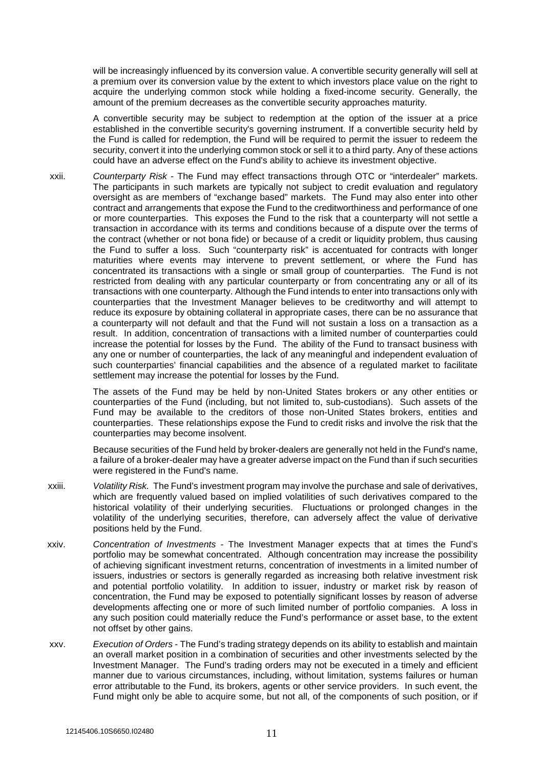will be increasingly influenced by its conversion value. A convertible security generally will sell at a premium over its conversion value by the extent to which investors place value on the right to acquire the underlying common stock while holding a fixed-income security. Generally, the amount of the premium decreases as the convertible security approaches maturity.

A convertible security may be subject to redemption at the option of the issuer at a price established in the convertible security's governing instrument. If a convertible security held by the Fund is called for redemption, the Fund will be required to permit the issuer to redeem the security, convert it into the underlying common stock or sell it to a third party. Any of these actions could have an adverse effect on the Fund's ability to achieve its investment objective.

xxii. *Counterparty Risk* - The Fund may effect transactions through OTC or "interdealer" markets. The participants in such markets are typically not subject to credit evaluation and regulatory oversight as are members of "exchange based" markets. The Fund may also enter into other contract and arrangements that expose the Fund to the creditworthiness and performance of one or more counterparties. This exposes the Fund to the risk that a counterparty will not settle a transaction in accordance with its terms and conditions because of a dispute over the terms of the contract (whether or not bona fide) or because of a credit or liquidity problem, thus causing the Fund to suffer a loss. Such "counterparty risk" is accentuated for contracts with longer maturities where events may intervene to prevent settlement, or where the Fund has concentrated its transactions with a single or small group of counterparties. The Fund is not restricted from dealing with any particular counterparty or from concentrating any or all of its transactions with one counterparty. Although the Fund intends to enter into transactions only with counterparties that the Investment Manager believes to be creditworthy and will attempt to reduce its exposure by obtaining collateral in appropriate cases, there can be no assurance that a counterparty will not default and that the Fund will not sustain a loss on a transaction as a result. In addition, concentration of transactions with a limited number of counterparties could increase the potential for losses by the Fund. The ability of the Fund to transact business with any one or number of counterparties, the lack of any meaningful and independent evaluation of such counterparties' financial capabilities and the absence of a regulated market to facilitate settlement may increase the potential for losses by the Fund.

> The assets of the Fund may be held by non-United States brokers or any other entities or counterparties of the Fund (including, but not limited to, sub-custodians). Such assets of the Fund may be available to the creditors of those non-United States brokers, entities and counterparties. These relationships expose the Fund to credit risks and involve the risk that the counterparties may become insolvent.

> Because securities of the Fund held by broker-dealers are generally not held in the Fund's name, a failure of a broker-dealer may have a greater adverse impact on the Fund than if such securities were registered in the Fund's name.

- xxiii. *Volatility Risk.* The Fund's investment program may involve the purchase and sale of derivatives, which are frequently valued based on implied volatilities of such derivatives compared to the historical volatility of their underlying securities. Fluctuations or prolonged changes in the volatility of the underlying securities, therefore, can adversely affect the value of derivative positions held by the Fund.
- xxiv. *Concentration of Investments* The Investment Manager expects that at times the Fund's portfolio may be somewhat concentrated. Although concentration may increase the possibility of achieving significant investment returns, concentration of investments in a limited number of issuers, industries or sectors is generally regarded as increasing both relative investment risk and potential portfolio volatility. In addition to issuer, industry or market risk by reason of concentration, the Fund may be exposed to potentially significant losses by reason of adverse developments affecting one or more of such limited number of portfolio companies. A loss in any such position could materially reduce the Fund's performance or asset base, to the extent not offset by other gains.
- xxv. *Execution of Orders* The Fund's trading strategy depends on its ability to establish and maintain an overall market position in a combination of securities and other investments selected by the Investment Manager. The Fund's trading orders may not be executed in a timely and efficient manner due to various circumstances, including, without limitation, systems failures or human error attributable to the Fund, its brokers, agents or other service providers. In such event, the Fund might only be able to acquire some, but not all, of the components of such position, or if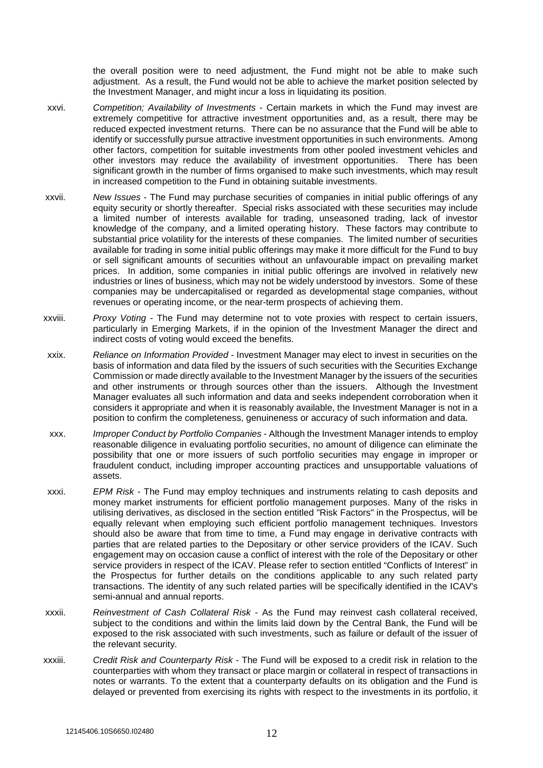the overall position were to need adjustment, the Fund might not be able to make such adjustment. As a result, the Fund would not be able to achieve the market position selected by the Investment Manager, and might incur a loss in liquidating its position.

- xxvi. *Competition; Availability of Investments* Certain markets in which the Fund may invest are extremely competitive for attractive investment opportunities and, as a result, there may be reduced expected investment returns. There can be no assurance that the Fund will be able to identify or successfully pursue attractive investment opportunities in such environments. Among other factors, competition for suitable investments from other pooled investment vehicles and other investors may reduce the availability of investment opportunities. There has been significant growth in the number of firms organised to make such investments, which may result in increased competition to the Fund in obtaining suitable investments.
- xxvii. *New Issues* The Fund may purchase securities of companies in initial public offerings of any equity security or shortly thereafter. Special risks associated with these securities may include a limited number of interests available for trading, unseasoned trading, lack of investor knowledge of the company, and a limited operating history. These factors may contribute to substantial price volatility for the interests of these companies. The limited number of securities available for trading in some initial public offerings may make it more difficult for the Fund to buy or sell significant amounts of securities without an unfavourable impact on prevailing market prices. In addition, some companies in initial public offerings are involved in relatively new industries or lines of business, which may not be widely understood by investors. Some of these companies may be undercapitalised or regarded as developmental stage companies, without revenues or operating income, or the near-term prospects of achieving them.
- xxviii. *Proxy Voting* The Fund may determine not to vote proxies with respect to certain issuers, particularly in Emerging Markets, if in the opinion of the Investment Manager the direct and indirect costs of voting would exceed the benefits.
- xxix. *Reliance on Information Provided* Investment Manager may elect to invest in securities on the basis of information and data filed by the issuers of such securities with the Securities Exchange Commission or made directly available to the Investment Manager by the issuers of the securities and other instruments or through sources other than the issuers. Although the Investment Manager evaluates all such information and data and seeks independent corroboration when it considers it appropriate and when it is reasonably available, the Investment Manager is not in a position to confirm the completeness, genuineness or accuracy of such information and data.
- xxx. *Improper Conduct by Portfolio Companies* Although the Investment Manager intends to employ reasonable diligence in evaluating portfolio securities, no amount of diligence can eliminate the possibility that one or more issuers of such portfolio securities may engage in improper or fraudulent conduct, including improper accounting practices and unsupportable valuations of assets.
- xxxi. *EPM Risk* The Fund may employ techniques and instruments relating to cash deposits and money market instruments for efficient portfolio management purposes. Many of the risks in utilising derivatives, as disclosed in the section entitled "Risk Factors" in the Prospectus, will be equally relevant when employing such efficient portfolio management techniques. Investors should also be aware that from time to time, a Fund may engage in derivative contracts with parties that are related parties to the Depositary or other service providers of the ICAV. Such engagement may on occasion cause a conflict of interest with the role of the Depositary or other service providers in respect of the ICAV. Please refer to section entitled "Conflicts of Interest" in the Prospectus for further details on the conditions applicable to any such related party transactions. The identity of any such related parties will be specifically identified in the ICAV's semi-annual and annual reports.
- xxxii. *Reinvestment of Cash Collateral Risk* As the Fund may reinvest cash collateral received, subject to the conditions and within the limits laid down by the Central Bank, the Fund will be exposed to the risk associated with such investments, such as failure or default of the issuer of the relevant security.
- xxxiii. *Credit Risk and Counterparty Risk* The Fund will be exposed to a credit risk in relation to the counterparties with whom they transact or place margin or collateral in respect of transactions in notes or warrants. To the extent that a counterparty defaults on its obligation and the Fund is delayed or prevented from exercising its rights with respect to the investments in its portfolio, it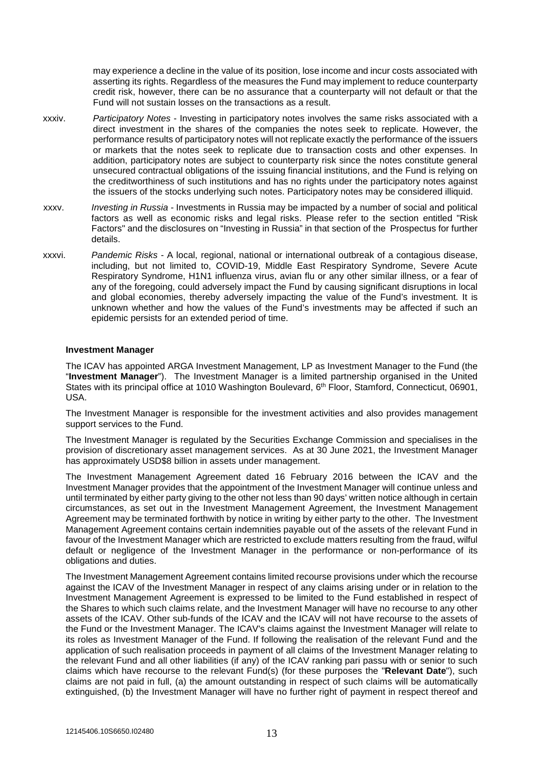may experience a decline in the value of its position, lose income and incur costs associated with asserting its rights. Regardless of the measures the Fund may implement to reduce counterparty credit risk, however, there can be no assurance that a counterparty will not default or that the Fund will not sustain losses on the transactions as a result.

- xxxiv. *Participatory Notes*  Investing in participatory notes involves the same risks associated with a direct investment in the shares of the companies the notes seek to replicate. However, the performance results of participatory notes will not replicate exactly the performance of the issuers or markets that the notes seek to replicate due to transaction costs and other expenses. In addition, participatory notes are subject to counterparty risk since the notes constitute general unsecured contractual obligations of the issuing financial institutions, and the Fund is relying on the creditworthiness of such institutions and has no rights under the participatory notes against the issuers of the stocks underlying such notes. Participatory notes may be considered illiquid.
- xxxv. *Investing in Russia* Investments in Russia may be impacted by a number of social and political factors as well as economic risks and legal risks. Please refer to the section entitled "Risk Factors" and the disclosures on "Investing in Russia" in that section of the Prospectus for further details.
- xxxvi. *Pandemic Risks* A local, regional, national or international outbreak of a contagious disease, including, but not limited to, COVID-19, Middle East Respiratory Syndrome, Severe Acute Respiratory Syndrome, H1N1 influenza virus, avian flu or any other similar illness, or a fear of any of the foregoing, could adversely impact the Fund by causing significant disruptions in local and global economies, thereby adversely impacting the value of the Fund's investment. It is unknown whether and how the values of the Fund's investments may be affected if such an epidemic persists for an extended period of time.

#### **Investment Manager**

The ICAV has appointed ARGA Investment Management, LP as Investment Manager to the Fund (the "**Investment Manager**"). The Investment Manager is a limited partnership organised in the United States with its principal office at 1010 Washington Boulevard, 6<sup>th</sup> Floor, Stamford, Connecticut, 06901, USA.

The Investment Manager is responsible for the investment activities and also provides management support services to the Fund.

The Investment Manager is regulated by the Securities Exchange Commission and specialises in the provision of discretionary asset management services. As at 30 June 2021, the Investment Manager has approximately USD\$8 billion in assets under management.

The Investment Management Agreement dated 16 February 2016 between the ICAV and the Investment Manager provides that the appointment of the Investment Manager will continue unless and until terminated by either party giving to the other not less than 90 days' written notice although in certain circumstances, as set out in the Investment Management Agreement, the Investment Management Agreement may be terminated forthwith by notice in writing by either party to the other. The Investment Management Agreement contains certain indemnities payable out of the assets of the relevant Fund in favour of the Investment Manager which are restricted to exclude matters resulting from the fraud, wilful default or negligence of the Investment Manager in the performance or non-performance of its obligations and duties.

The Investment Management Agreement contains limited recourse provisions under which the recourse against the ICAV of the Investment Manager in respect of any claims arising under or in relation to the Investment Management Agreement is expressed to be limited to the Fund established in respect of the Shares to which such claims relate, and the Investment Manager will have no recourse to any other assets of the ICAV. Other sub-funds of the ICAV and the ICAV will not have recourse to the assets of the Fund or the Investment Manager. The ICAV's claims against the Investment Manager will relate to its roles as Investment Manager of the Fund. If following the realisation of the relevant Fund and the application of such realisation proceeds in payment of all claims of the Investment Manager relating to the relevant Fund and all other liabilities (if any) of the ICAV ranking pari passu with or senior to such claims which have recourse to the relevant Fund(s) (for these purposes the "**Relevant Date**"), such claims are not paid in full, (a) the amount outstanding in respect of such claims will be automatically extinguished, (b) the Investment Manager will have no further right of payment in respect thereof and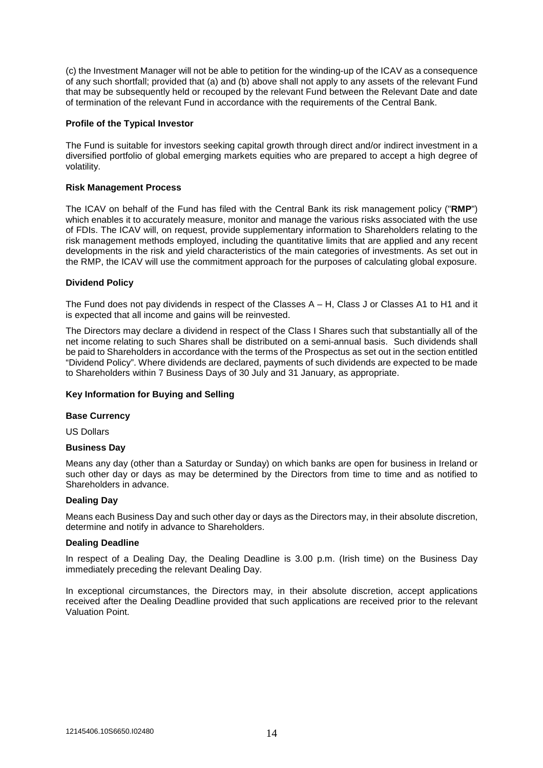(c) the Investment Manager will not be able to petition for the winding-up of the ICAV as a consequence of any such shortfall; provided that (a) and (b) above shall not apply to any assets of the relevant Fund that may be subsequently held or recouped by the relevant Fund between the Relevant Date and date of termination of the relevant Fund in accordance with the requirements of the Central Bank.

### **Profile of the Typical Investor**

The Fund is suitable for investors seeking capital growth through direct and/or indirect investment in a diversified portfolio of global emerging markets equities who are prepared to accept a high degree of volatility.

## **Risk Management Process**

The ICAV on behalf of the Fund has filed with the Central Bank its risk management policy ("**RMP**") which enables it to accurately measure, monitor and manage the various risks associated with the use of FDIs. The ICAV will, on request, provide supplementary information to Shareholders relating to the risk management methods employed, including the quantitative limits that are applied and any recent developments in the risk and yield characteristics of the main categories of investments. As set out in the RMP, the ICAV will use the commitment approach for the purposes of calculating global exposure.

## **Dividend Policy**

The Fund does not pay dividends in respect of the Classes A – H, Class J or Classes A1 to H1 and it is expected that all income and gains will be reinvested.

The Directors may declare a dividend in respect of the Class I Shares such that substantially all of the net income relating to such Shares shall be distributed on a semi-annual basis. Such dividends shall be paid to Shareholders in accordance with the terms of the Prospectus as set out in the section entitled "Dividend Policy". Where dividends are declared, payments of such dividends are expected to be made to Shareholders within 7 Business Days of 30 July and 31 January, as appropriate.

#### **Key Information for Buying and Selling**

#### **Base Currency**

US Dollars

#### **Business Day**

Means any day (other than a Saturday or Sunday) on which banks are open for business in Ireland or such other day or days as may be determined by the Directors from time to time and as notified to Shareholders in advance.

#### **Dealing Day**

Means each Business Day and such other day or days as the Directors may, in their absolute discretion, determine and notify in advance to Shareholders.

#### **Dealing Deadline**

In respect of a Dealing Day, the Dealing Deadline is 3.00 p.m. (Irish time) on the Business Day immediately preceding the relevant Dealing Day.

In exceptional circumstances, the Directors may, in their absolute discretion, accept applications received after the Dealing Deadline provided that such applications are received prior to the relevant Valuation Point.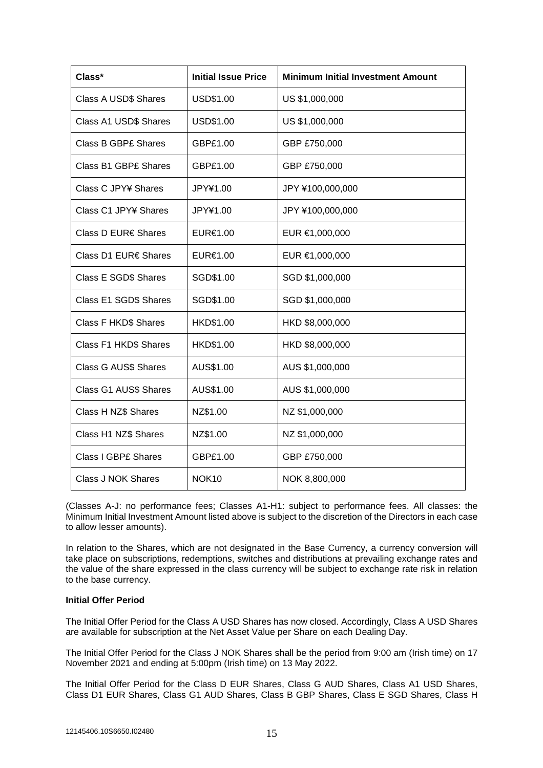| Class*                      | <b>Initial Issue Price</b> | <b>Minimum Initial Investment Amount</b> |
|-----------------------------|----------------------------|------------------------------------------|
| <b>Class A USD\$ Shares</b> | USD\$1.00                  | US \$1,000,000                           |
| Class A1 USD\$ Shares       | USD\$1.00                  | US \$1,000,000                           |
| <b>Class B GBP£ Shares</b>  | GBP£1.00                   | GBP £750,000                             |
| <b>Class B1 GBP£ Shares</b> | GBP£1.00                   | GBP £750,000                             |
| Class C JPY¥ Shares         | JPY¥1.00                   | JPY ¥100,000,000                         |
| Class C1 JPY¥ Shares        | JPY¥1.00                   | JPY ¥100,000,000                         |
| Class D EUR€ Shares         | EUR€1.00                   | EUR €1,000,000                           |
| Class D1 EUR€ Shares        | EUR€1.00                   | EUR €1,000,000                           |
| Class E SGD\$ Shares        | SGD\$1.00                  | SGD \$1,000,000                          |
| Class E1 SGD\$ Shares       | SGD\$1.00                  | SGD \$1,000,000                          |
| <b>Class F HKD\$ Shares</b> | HKD\$1.00                  | HKD \$8,000,000                          |
| Class F1 HKD\$ Shares       | HKD\$1.00                  | HKD \$8,000,000                          |
| <b>Class G AUS\$ Shares</b> | AUS\$1.00                  | AUS \$1,000,000                          |
| Class G1 AUS\$ Shares       | AUS\$1.00                  | AUS \$1,000,000                          |
| Class H NZ\$ Shares         | NZ\$1.00                   | NZ \$1,000,000                           |
| Class H1 NZ\$ Shares        | NZ\$1.00                   | NZ \$1,000,000                           |
| <b>Class I GBPE Shares</b>  | GBP£1.00                   | GBP £750,000                             |
| Class J NOK Shares          | NOK <sub>10</sub>          | NOK 8,800,000                            |

(Classes A-J: no performance fees; Classes A1-H1: subject to performance fees. All classes: the Minimum Initial Investment Amount listed above is subject to the discretion of the Directors in each case to allow lesser amounts).

In relation to the Shares, which are not designated in the Base Currency, a currency conversion will take place on subscriptions, redemptions, switches and distributions at prevailing exchange rates and the value of the share expressed in the class currency will be subject to exchange rate risk in relation to the base currency.

#### **Initial Offer Period**

The Initial Offer Period for the Class A USD Shares has now closed. Accordingly, Class A USD Shares are available for subscription at the Net Asset Value per Share on each Dealing Day.

The Initial Offer Period for the Class J NOK Shares shall be the period from 9:00 am (Irish time) on 17 November 2021 and ending at 5:00pm (Irish time) on 13 May 2022.

The Initial Offer Period for the Class D EUR Shares, Class G AUD Shares, Class A1 USD Shares, Class D1 EUR Shares, Class G1 AUD Shares, Class B GBP Shares, Class E SGD Shares, Class H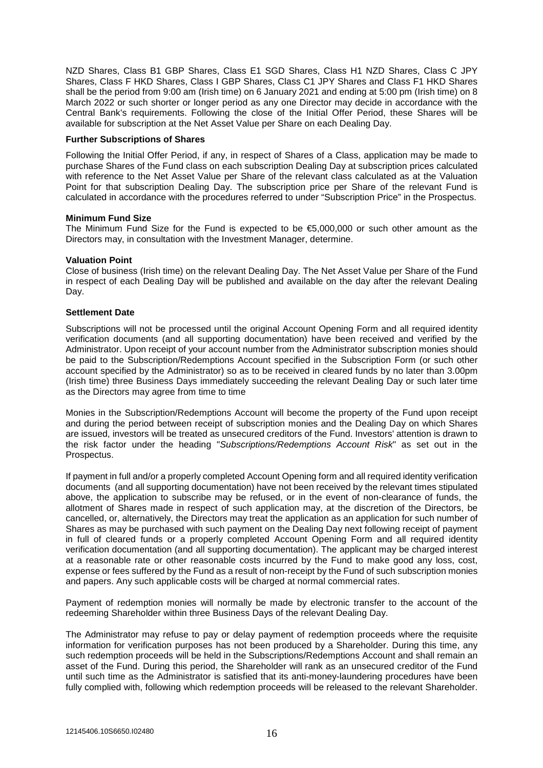NZD Shares, Class B1 GBP Shares, Class E1 SGD Shares, Class H1 NZD Shares, Class C JPY Shares, Class F HKD Shares, Class I GBP Shares, Class C1 JPY Shares and Class F1 HKD Shares shall be the period from 9:00 am (Irish time) on 6 January 2021 and ending at 5:00 pm (Irish time) on 8 March 2022 or such shorter or longer period as any one Director may decide in accordance with the Central Bank's requirements. Following the close of the Initial Offer Period, these Shares will be available for subscription at the Net Asset Value per Share on each Dealing Day.

#### **Further Subscriptions of Shares**

Following the Initial Offer Period, if any, in respect of Shares of a Class, application may be made to purchase Shares of the Fund class on each subscription Dealing Day at subscription prices calculated with reference to the Net Asset Value per Share of the relevant class calculated as at the Valuation Point for that subscription Dealing Day. The subscription price per Share of the relevant Fund is calculated in accordance with the procedures referred to under "Subscription Price" in the Prospectus.

## **Minimum Fund Size**

The Minimum Fund Size for the Fund is expected to be  $\text{£}5,000,000$  or such other amount as the Directors may, in consultation with the Investment Manager, determine.

## **Valuation Point**

Close of business (Irish time) on the relevant Dealing Day. The Net Asset Value per Share of the Fund in respect of each Dealing Day will be published and available on the day after the relevant Dealing Day.

## **Settlement Date**

Subscriptions will not be processed until the original Account Opening Form and all required identity verification documents (and all supporting documentation) have been received and verified by the Administrator. Upon receipt of your account number from the Administrator subscription monies should be paid to the Subscription/Redemptions Account specified in the Subscription Form (or such other account specified by the Administrator) so as to be received in cleared funds by no later than 3.00pm (Irish time) three Business Days immediately succeeding the relevant Dealing Day or such later time as the Directors may agree from time to time

Monies in the Subscription/Redemptions Account will become the property of the Fund upon receipt and during the period between receipt of subscription monies and the Dealing Day on which Shares are issued, investors will be treated as unsecured creditors of the Fund. Investors' attention is drawn to the risk factor under the heading "*Subscriptions/Redemptions Account Risk*" as set out in the Prospectus.

If payment in full and/or a properly completed Account Opening form and all required identity verification documents (and all supporting documentation) have not been received by the relevant times stipulated above, the application to subscribe may be refused, or in the event of non-clearance of funds, the allotment of Shares made in respect of such application may, at the discretion of the Directors, be cancelled, or, alternatively, the Directors may treat the application as an application for such number of Shares as may be purchased with such payment on the Dealing Day next following receipt of payment in full of cleared funds or a properly completed Account Opening Form and all required identity verification documentation (and all supporting documentation). The applicant may be charged interest at a reasonable rate or other reasonable costs incurred by the Fund to make good any loss, cost, expense or fees suffered by the Fund as a result of non-receipt by the Fund of such subscription monies and papers. Any such applicable costs will be charged at normal commercial rates.

Payment of redemption monies will normally be made by electronic transfer to the account of the redeeming Shareholder within three Business Days of the relevant Dealing Day.

The Administrator may refuse to pay or delay payment of redemption proceeds where the requisite information for verification purposes has not been produced by a Shareholder. During this time, any such redemption proceeds will be held in the Subscriptions/Redemptions Account and shall remain an asset of the Fund. During this period, the Shareholder will rank as an unsecured creditor of the Fund until such time as the Administrator is satisfied that its anti-money-laundering procedures have been fully complied with, following which redemption proceeds will be released to the relevant Shareholder.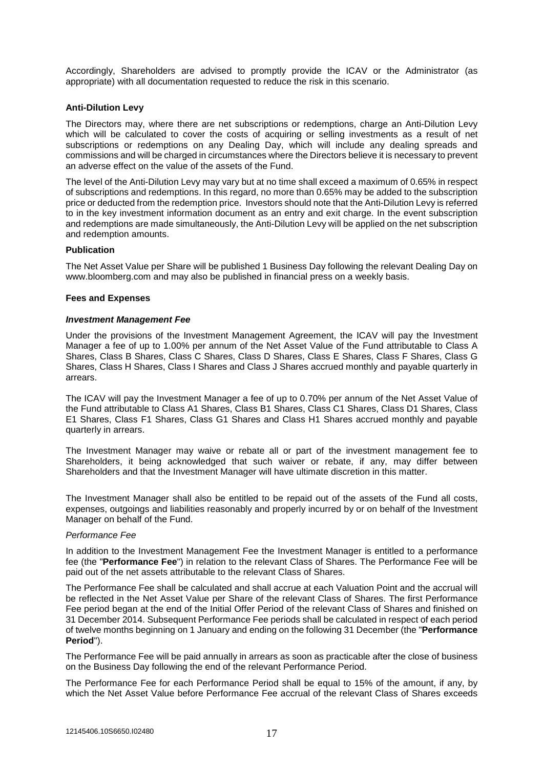Accordingly, Shareholders are advised to promptly provide the ICAV or the Administrator (as appropriate) with all documentation requested to reduce the risk in this scenario.

### **Anti-Dilution Levy**

The Directors may, where there are net subscriptions or redemptions, charge an Anti-Dilution Levy which will be calculated to cover the costs of acquiring or selling investments as a result of net subscriptions or redemptions on any Dealing Day, which will include any dealing spreads and commissions and will be charged in circumstances where the Directors believe it is necessary to prevent an adverse effect on the value of the assets of the Fund.

The level of the Anti-Dilution Levy may vary but at no time shall exceed a maximum of 0.65% in respect of subscriptions and redemptions. In this regard, no more than 0.65% may be added to the subscription price or deducted from the redemption price. Investors should note that the Anti-Dilution Levy is referred to in the key investment information document as an entry and exit charge. In the event subscription and redemptions are made simultaneously, the Anti-Dilution Levy will be applied on the net subscription and redemption amounts.

## **Publication**

The Net Asset Value per Share will be published 1 Business Day following the relevant Dealing Day on www.bloomberg.com and may also be published in financial press on a weekly basis.

#### **Fees and Expenses**

#### *Investment Management Fee*

Under the provisions of the Investment Management Agreement, the ICAV will pay the Investment Manager a fee of up to 1.00% per annum of the Net Asset Value of the Fund attributable to Class A Shares, Class B Shares, Class C Shares, Class D Shares, Class E Shares, Class F Shares, Class G Shares, Class H Shares, Class I Shares and Class J Shares accrued monthly and payable quarterly in arrears.

The ICAV will pay the Investment Manager a fee of up to 0.70% per annum of the Net Asset Value of the Fund attributable to Class A1 Shares, Class B1 Shares, Class C1 Shares, Class D1 Shares, Class E1 Shares, Class F1 Shares, Class G1 Shares and Class H1 Shares accrued monthly and payable quarterly in arrears.

The Investment Manager may waive or rebate all or part of the investment management fee to Shareholders, it being acknowledged that such waiver or rebate, if any, may differ between Shareholders and that the Investment Manager will have ultimate discretion in this matter.

The Investment Manager shall also be entitled to be repaid out of the assets of the Fund all costs, expenses, outgoings and liabilities reasonably and properly incurred by or on behalf of the Investment Manager on behalf of the Fund.

#### *Performance Fee*

In addition to the Investment Management Fee the Investment Manager is entitled to a performance fee (the "**Performance Fee**") in relation to the relevant Class of Shares. The Performance Fee will be paid out of the net assets attributable to the relevant Class of Shares.

The Performance Fee shall be calculated and shall accrue at each Valuation Point and the accrual will be reflected in the Net Asset Value per Share of the relevant Class of Shares. The first Performance Fee period began at the end of the Initial Offer Period of the relevant Class of Shares and finished on 31 December 2014. Subsequent Performance Fee periods shall be calculated in respect of each period of twelve months beginning on 1 January and ending on the following 31 December (the "**Performance Period**").

The Performance Fee will be paid annually in arrears as soon as practicable after the close of business on the Business Day following the end of the relevant Performance Period.

The Performance Fee for each Performance Period shall be equal to 15% of the amount, if any, by which the Net Asset Value before Performance Fee accrual of the relevant Class of Shares exceeds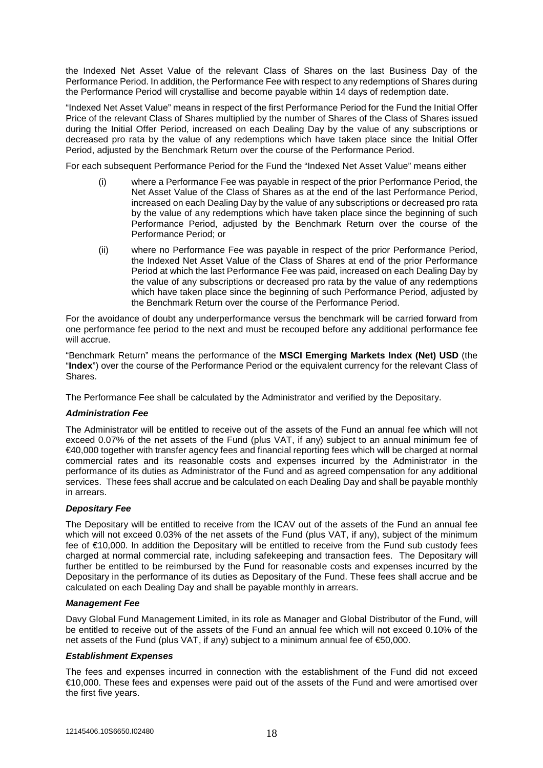the Indexed Net Asset Value of the relevant Class of Shares on the last Business Day of the Performance Period. In addition, the Performance Fee with respect to any redemptions of Shares during the Performance Period will crystallise and become payable within 14 days of redemption date.

"Indexed Net Asset Value" means in respect of the first Performance Period for the Fund the Initial Offer Price of the relevant Class of Shares multiplied by the number of Shares of the Class of Shares issued during the Initial Offer Period, increased on each Dealing Day by the value of any subscriptions or decreased pro rata by the value of any redemptions which have taken place since the Initial Offer Period, adjusted by the Benchmark Return over the course of the Performance Period.

For each subsequent Performance Period for the Fund the "Indexed Net Asset Value" means either

- (i) where a Performance Fee was payable in respect of the prior Performance Period, the Net Asset Value of the Class of Shares as at the end of the last Performance Period, increased on each Dealing Day by the value of any subscriptions or decreased pro rata by the value of any redemptions which have taken place since the beginning of such Performance Period, adjusted by the Benchmark Return over the course of the Performance Period; or
- (ii) where no Performance Fee was payable in respect of the prior Performance Period, the Indexed Net Asset Value of the Class of Shares at end of the prior Performance Period at which the last Performance Fee was paid, increased on each Dealing Day by the value of any subscriptions or decreased pro rata by the value of any redemptions which have taken place since the beginning of such Performance Period, adjusted by the Benchmark Return over the course of the Performance Period.

For the avoidance of doubt any underperformance versus the benchmark will be carried forward from one performance fee period to the next and must be recouped before any additional performance fee will accrue.

"Benchmark Return" means the performance of the **MSCI Emerging Markets Index (Net) USD** (the "**Index**") over the course of the Performance Period or the equivalent currency for the relevant Class of Shares.

The Performance Fee shall be calculated by the Administrator and verified by the Depositary.

## *Administration Fee*

The Administrator will be entitled to receive out of the assets of the Fund an annual fee which will not exceed 0.07% of the net assets of the Fund (plus VAT, if any) subject to an annual minimum fee of €40,000 together with transfer agency fees and financial reporting fees which will be charged at normal commercial rates and its reasonable costs and expenses incurred by the Administrator in the performance of its duties as Administrator of the Fund and as agreed compensation for any additional services. These fees shall accrue and be calculated on each Dealing Day and shall be payable monthly in arrears.

# *Depositary Fee*

The Depositary will be entitled to receive from the ICAV out of the assets of the Fund an annual fee which will not exceed 0.03% of the net assets of the Fund (plus VAT, if any), subject of the minimum fee of €10,000. In addition the Depositary will be entitled to receive from the Fund sub custody fees charged at normal commercial rate, including safekeeping and transaction fees. The Depositary will further be entitled to be reimbursed by the Fund for reasonable costs and expenses incurred by the Depositary in the performance of its duties as Depositary of the Fund. These fees shall accrue and be calculated on each Dealing Day and shall be payable monthly in arrears.

#### *Management Fee*

Davy Global Fund Management Limited, in its role as Manager and Global Distributor of the Fund, will be entitled to receive out of the assets of the Fund an annual fee which will not exceed 0.10% of the net assets of the Fund (plus VAT, if any) subject to a minimum annual fee of €50,000.

#### *Establishment Expenses*

The fees and expenses incurred in connection with the establishment of the Fund did not exceed €10,000. These fees and expenses were paid out of the assets of the Fund and were amortised over the first five years.